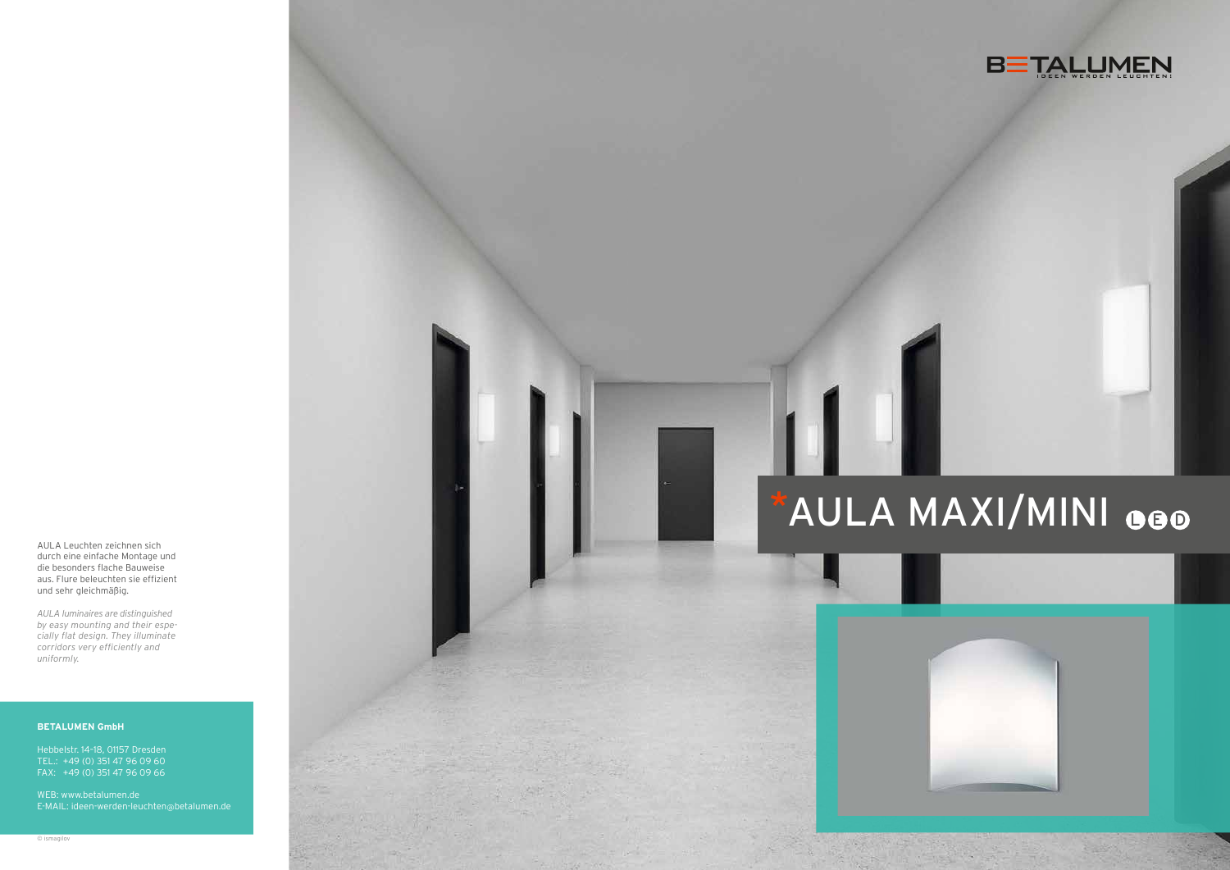AULA Leuchten zeichnen sich durch eine einfache Montage und die besonders flache Bauweise aus. Flure beleuchten sie effizient und sehr gleichmäßig.

*AULA luminaires are distinguished by easy mounting and their espe cially flat design. They illuminate corridors very efficiently and uniformly.*







# \*AULA MAXI/MINI OGO



#### **BETALUMEN GmbH**

Hebbelstr. 14–18, 01157 Dresden TEL.: +49 (0) 351 47 96 09 60 FAX: +49 (0) 351 47 96 09 66

WEB: www.betalumen.de E-MAIL: ideen-werden-leuchten @betalumen.de